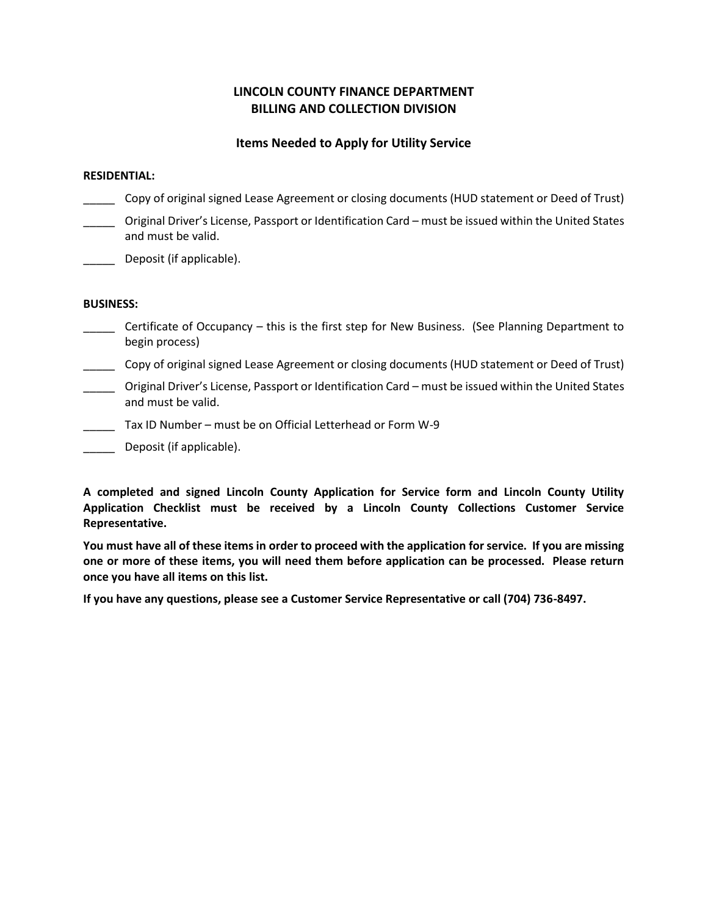## **LINCOLN COUNTY FINANCE DEPARTMENT BILLING AND COLLECTION DIVISION**

### **Items Needed to Apply for Utility Service**

#### **RESIDENTIAL:**

- Copy of original signed Lease Agreement or closing documents (HUD statement or Deed of Trust)
- \_\_\_\_\_ Original Driver's License, Passport or Identification Card must be issued within the United States and must be valid.
- \_\_\_\_\_ Deposit (if applicable).

#### **BUSINESS:**

- Certificate of Occupancy this is the first step for New Business. (See Planning Department to begin process)
- \_\_\_\_\_ Copy of original signed Lease Agreement or closing documents (HUD statement or Deed of Trust)
- \_\_\_\_\_ Original Driver's License, Passport or Identification Card must be issued within the United States and must be valid.
- Tax ID Number must be on Official Letterhead or Form W-9
- Deposit (if applicable).

**A completed and signed Lincoln County Application for Service form and Lincoln County Utility Application Checklist must be received by a Lincoln County Collections Customer Service Representative.**

**You must have all of these items in order to proceed with the application for service. If you are missing one or more of these items, you will need them before application can be processed. Please return once you have all items on this list.**

**If you have any questions, please see a Customer Service Representative or call (704) 736-8497.**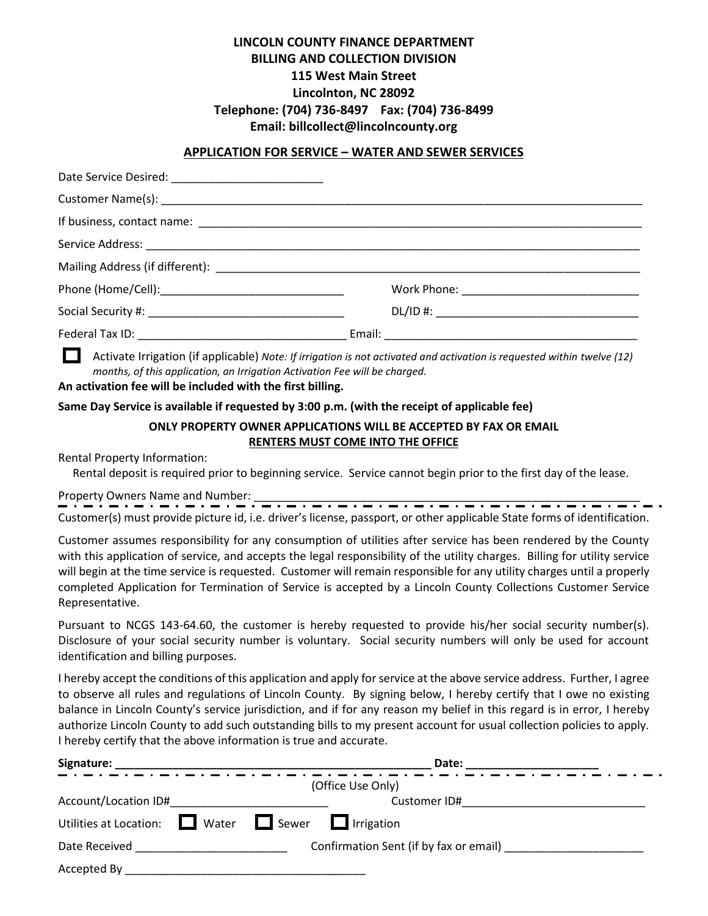# **LINCOLN COUNTY FINANCE DEPARTMENT BILLING AND COLLECTION DIVISION 115 West Main Street Lincolnton, NC 28092 Telephone: (704) 736-8497 Fax: (704) 736-8499 Email: billcollect@lincolncounty.org**

#### **APPLICATION FOR SERVICE – WATER AND SEWER SERVICES**

Activate Irrigation (if applicable) *Note: If irrigation is not activated and activation is requested within twelve (12) months, of this application, an Irrigation Activation Fee will be charged.*

#### **An activation fee will be included with the first billing.**

**Same Day Service is available if requested by 3:00 p.m. (with the receipt of applicable fee)**

## **ONLY PROPERTY OWNER APPLICATIONS WILL BE ACCEPTED BY FAX OR EMAIL RENTERS MUST COME INTO THE OFFICE**

Rental Property Information:

Rental deposit is required prior to beginning service. Service cannot begin prior to the first day of the lease.

Property Owners Name and Number:  $\frac{1}{n}$  and  $\frac{1}{n}$  and  $\frac{1}{n}$  and  $\frac{1}{n}$  and  $\frac{1}{n}$  and  $\frac{1}{n}$  and  $\frac{1}{n}$  and  $\frac{1}{n}$  and  $\frac{1}{n}$  and  $\frac{1}{n}$  and  $\frac{1}{n}$  and  $\frac{1}{n}$  and  $\frac{1}{n}$  and  $\frac{1}{$ 

Customer(s) must provide picture id, i.e. driver's license, passport, or other applicable State forms of identification.

Customer assumes responsibility for any consumption of utilities after service has been rendered by the County with this application of service, and accepts the legal responsibility of the utility charges. Billing for utility service will begin at the time service is requested. Customer will remain responsible for any utility charges until a properly completed Application for Termination of Service is accepted by a Lincoln County Collections Customer Service Representative.

Pursuant to NCGS 143-64.60, the customer is hereby requested to provide his/her social security number(s). Disclosure of your social security number is voluntary. Social security numbers will only be used for account identification and billing purposes.

I hereby accept the conditions of this application and apply for service at the above service address. Further, I agree to observe all rules and regulations of Lincoln County. By signing below, I hereby certify that I owe no existing balance in Lincoln County's service jurisdiction, and if for any reason my belief in this regard is in error, I hereby authorize Lincoln County to add such outstanding bills to my present account for usual collection policies to apply. I hereby certify that the above information is true and accurate.

| Signature:                                       | Date:                                  |
|--------------------------------------------------|----------------------------------------|
|                                                  | (Office Use Only)                      |
| Account/Location ID#                             | Customer ID#                           |
| Utilities at Location: $\Box$ Water $\Box$ Sewer | $\Box$ Irrigation                      |
| Date Received                                    | Confirmation Sent (if by fax or email) |
| Accepted By                                      |                                        |